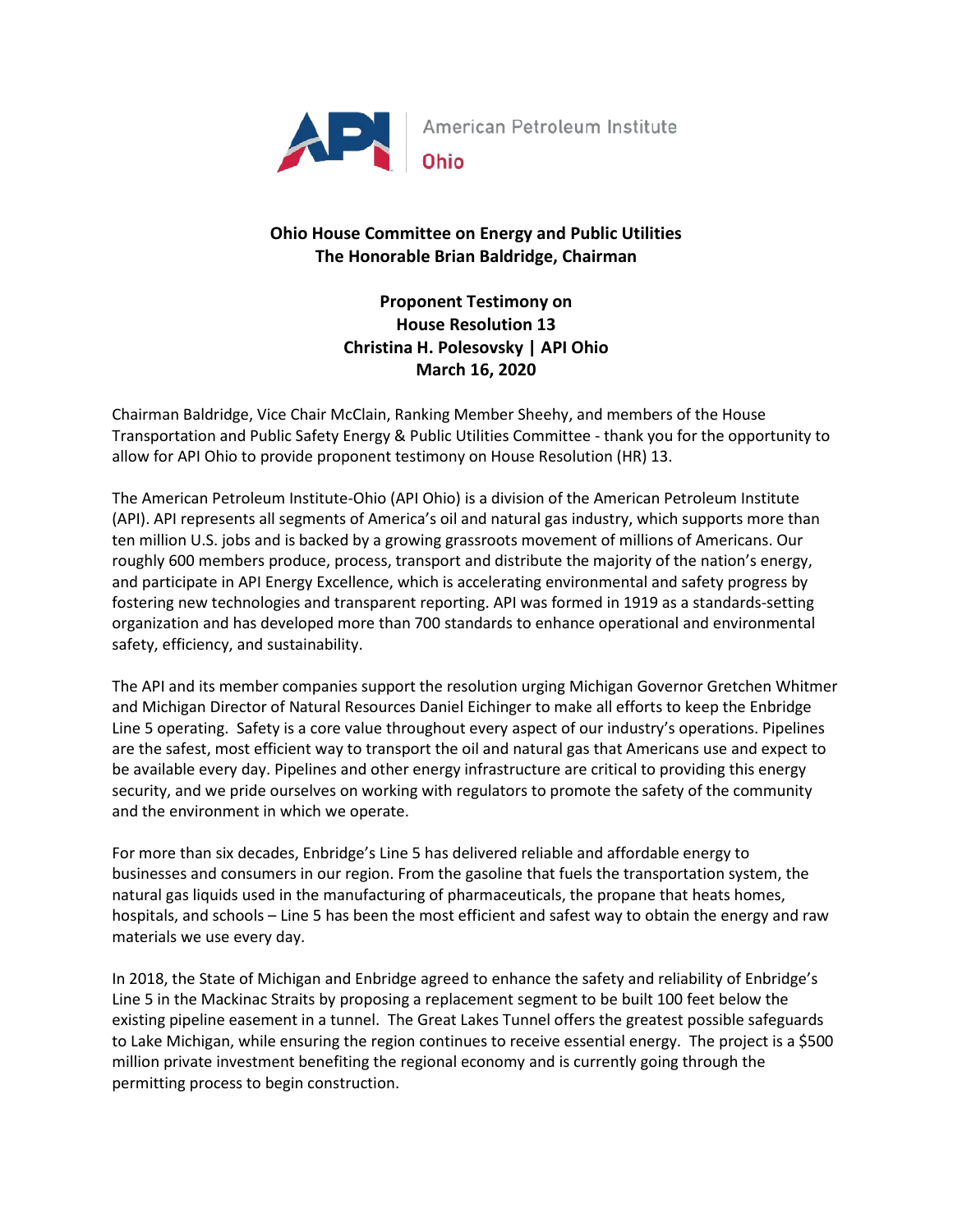

## **Ohio House Committee on Energy and Public Utilities The Honorable Brian Baldridge, Chairman**

**Proponent Testimony on House Resolution 13 Christina H. Polesovsky | API Ohio March 16, 2020**

Chairman Baldridge, Vice Chair McClain, Ranking Member Sheehy, and members of the House Transportation and Public Safety Energy & Public Utilities Committee - thank you for the opportunity to allow for API Ohio to provide proponent testimony on House Resolution (HR) 13.

The American Petroleum Institute-Ohio (API Ohio) is a division of the American Petroleum Institute (API). API represents all segments of America's oil and natural gas industry, which supports more than ten million U.S. jobs and is backed by a growing grassroots movement of millions of Americans. Our roughly 600 members produce, process, transport and distribute the majority of the nation's energy, and participate in API Energy Excellence, which is accelerating environmental and safety progress by fostering new technologies and transparent reporting. API was formed in 1919 as a standards-setting organization and has developed more than 700 standards to enhance operational and environmental safety, efficiency, and sustainability.

The API and its member companies support the resolution urging Michigan Governor Gretchen Whitmer and Michigan Director of Natural Resources Daniel Eichinger to make all efforts to keep the Enbridge Line 5 operating. Safety is a core value throughout every aspect of our industry's operations. Pipelines are the safest, most efficient way to transport the oil and natural gas that Americans use and expect to be available every day. Pipelines and other energy infrastructure are critical to providing this energy security, and we pride ourselves on working with regulators to promote the safety of the community and the environment in which we operate.

For more than six decades, Enbridge's Line 5 has delivered reliable and affordable energy to businesses and consumers in our region. From the gasoline that fuels the transportation system, the natural gas liquids used in the manufacturing of pharmaceuticals, the propane that heats homes, hospitals, and schools – Line 5 has been the most efficient and safest way to obtain the energy and raw materials we use every day.

In 2018, the State of Michigan and Enbridge agreed to enhance the safety and reliability of Enbridge's Line 5 in the Mackinac Straits by proposing a replacement segment to be built 100 feet below the existing pipeline easement in a tunnel. The Great Lakes Tunnel offers the greatest possible safeguards to Lake Michigan, while ensuring the region continues to receive essential energy. The project is a \$500 million private investment benefiting the regional economy and is currently going through the permitting process to begin construction.